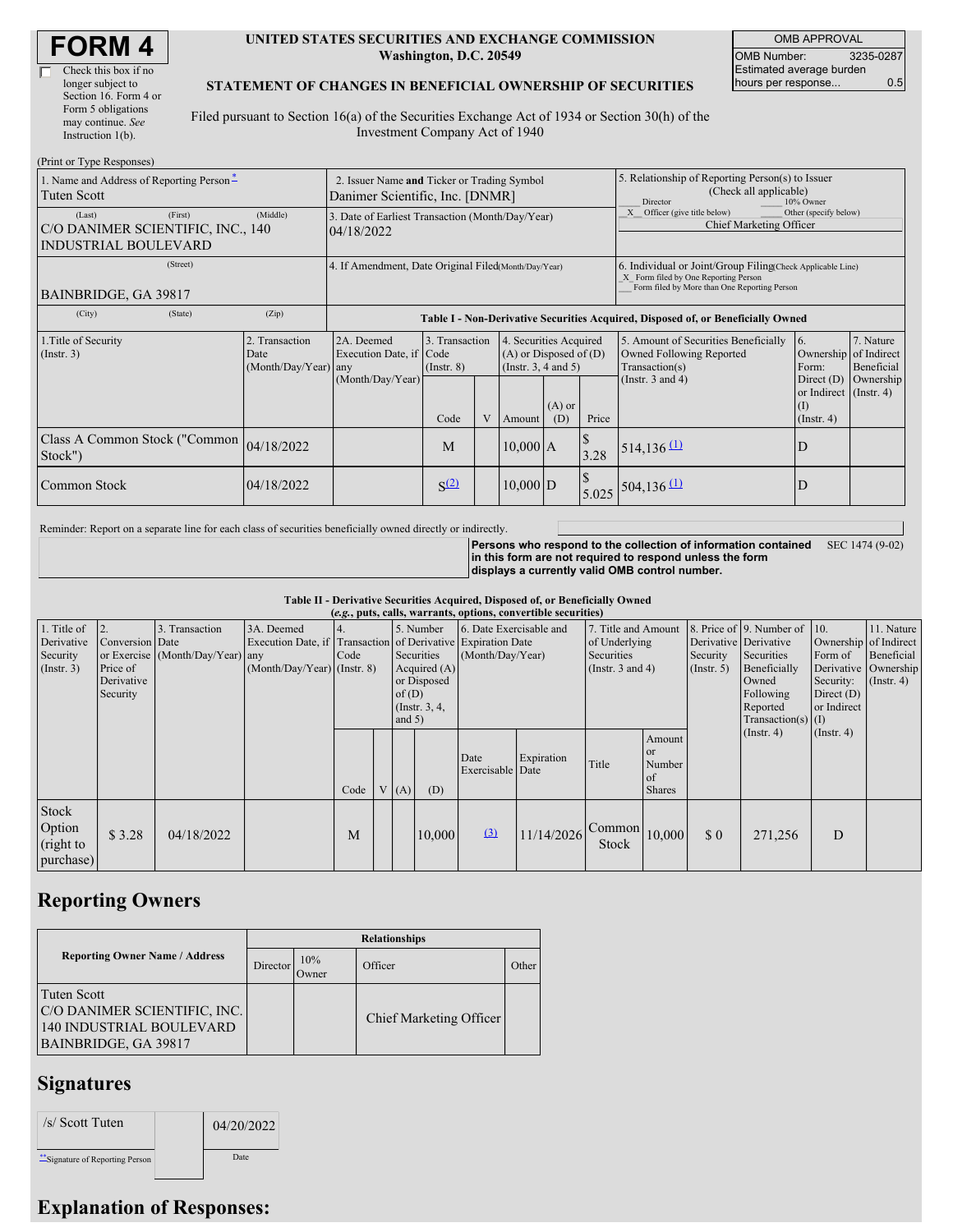| <b>FORM 4</b> |
|---------------|
|---------------|

#### **UNITED STATES SECURITIES AND EXCHANGE COMMISSION Washington, D.C. 20549**

OMB APPROVAL OMB Number: 3235-0287 Estimated average burden hours per response... 0.5

#### **STATEMENT OF CHANGES IN BENEFICIAL OWNERSHIP OF SECURITIES**

Filed pursuant to Section 16(a) of the Securities Exchange Act of 1934 or Section 30(h) of the Investment Company Act of 1940

| (Print or Type Responses)                                                             |                                                                                |                                                                                  |                                   |   |                                                                              |                 |                                                                                                     |                                                                                                                                                    |                                                                   |                         |  |
|---------------------------------------------------------------------------------------|--------------------------------------------------------------------------------|----------------------------------------------------------------------------------|-----------------------------------|---|------------------------------------------------------------------------------|-----------------|-----------------------------------------------------------------------------------------------------|----------------------------------------------------------------------------------------------------------------------------------------------------|-------------------------------------------------------------------|-------------------------|--|
| 1. Name and Address of Reporting Person-<br><b>Tuten Scott</b>                        | 2. Issuer Name and Ticker or Trading Symbol<br>Danimer Scientific, Inc. [DNMR] |                                                                                  |                                   |   |                                                                              |                 | 5. Relationship of Reporting Person(s) to Issuer<br>(Check all applicable)<br>Director<br>10% Owner |                                                                                                                                                    |                                                                   |                         |  |
| (First)<br>(Last)<br>C/O DANIMER SCIENTIFIC, INC., 140<br><b>INDUSTRIAL BOULEVARD</b> | (Middle)                                                                       | 3. Date of Earliest Transaction (Month/Day/Year)<br>04/18/2022                   |                                   |   |                                                                              |                 |                                                                                                     | Other (specify below)<br>X Officer (give title below)<br>Chief Marketing Officer                                                                   |                                                                   |                         |  |
| (Street)<br>BAINBRIDGE, GA 39817                                                      |                                                                                | 4. If Amendment, Date Original Filed Month/Day/Year)                             |                                   |   |                                                                              |                 |                                                                                                     | 6. Individual or Joint/Group Filing(Check Applicable Line)<br>X Form filed by One Reporting Person<br>Form filed by More than One Reporting Person |                                                                   |                         |  |
| (City)<br>(State)                                                                     | (Zip)                                                                          | Table I - Non-Derivative Securities Acquired, Disposed of, or Beneficially Owned |                                   |   |                                                                              |                 |                                                                                                     |                                                                                                                                                    |                                                                   |                         |  |
| 1. Title of Security<br>(Insert. 3)                                                   | 2. Transaction<br>Date<br>(Month/Day/Year) any                                 | 2A. Deemed<br>Execution Date, if Code                                            | 3. Transaction<br>$($ Instr. $8)$ |   | 4. Securities Acquired<br>$(A)$ or Disposed of $(D)$<br>(Insert. 3, 4 and 5) |                 |                                                                                                     | 5. Amount of Securities Beneficially<br>Owned Following Reported<br>Transaction(s)                                                                 | 6.<br>Ownership of Indirect<br>Form:                              | 7. Nature<br>Beneficial |  |
|                                                                                       |                                                                                | (Month/Day/Year)                                                                 | Code                              | V | Amount                                                                       | $(A)$ or<br>(D) | Price                                                                                               | (Instr. $3$ and $4$ )                                                                                                                              | Direct $(D)$<br>or Indirect (Instr. 4)<br>(I)<br>$($ Instr. 4 $)$ | Ownership               |  |
| Class A Common Stock ("Common 04/18/2022<br>Stock")                                   |                                                                                |                                                                                  | M                                 |   | $10,000$ A                                                                   |                 | 3.28                                                                                                | $514, 136$ <sup>(1)</sup>                                                                                                                          | D                                                                 |                         |  |
| <b>Common Stock</b>                                                                   | 04/18/2022                                                                     |                                                                                  | S <sup>(2)</sup>                  |   | $10,000$ D                                                                   |                 | 5.025                                                                                               | $504, 136$ <sup>(1)</sup>                                                                                                                          | D                                                                 |                         |  |

Reminder: Report on a separate line for each class of securities beneficially owned directly or indirectly.

**Persons who respond to the collection of information contained in this form are not required to respond unless the form displays a currently valid OMB control number.** SEC 1474 (9-02)

**Table II - Derivative Securities Acquired, Disposed of, or Beneficially Owned**

| (e.g., puts, calls, warrants, options, convertible securities) |                                                       |                                                    |                                                                                                           |      |  |                      |                                                                            |                                             |            |                                                                             |                                                                                                                                                                                                       |             |                             |                                                                                               |  |
|----------------------------------------------------------------|-------------------------------------------------------|----------------------------------------------------|-----------------------------------------------------------------------------------------------------------|------|--|----------------------|----------------------------------------------------------------------------|---------------------------------------------|------------|-----------------------------------------------------------------------------|-------------------------------------------------------------------------------------------------------------------------------------------------------------------------------------------------------|-------------|-----------------------------|-----------------------------------------------------------------------------------------------|--|
| 1. Title of<br>Derivative<br>Security<br>$($ Instr. 3 $)$      | Conversion Date<br>Price of<br>Derivative<br>Security | 3. Transaction<br>or Exercise (Month/Day/Year) any | 3A. Deemed<br>Execution Date, if Transaction of Derivative Expiration Date<br>(Month/Day/Year) (Instr. 8) | Code |  | of $(D)$<br>and $5)$ | 5. Number<br>Securities<br>Acquired (A)<br>or Disposed<br>(Instr. $3, 4$ , | 6. Date Exercisable and<br>(Month/Day/Year) |            | 7. Title and Amount<br>of Underlying<br>Securities<br>(Instr. $3$ and $4$ ) | 8. Price of 9. Number of 10.<br>Derivative Derivative<br>Security<br>Securities<br>Form of<br>$($ Instr. 5 $)$<br>Beneficially<br>Security:<br>Owned<br>Following<br>Reported<br>$Transaction(s)$ (I) |             | Direct $(D)$<br>or Indirect | 11. Nature<br>Ownership of Indirect<br>Beneficial<br>Derivative Ownership<br>$($ Instr. 4 $)$ |  |
|                                                                |                                                       |                                                    |                                                                                                           | Code |  | V(A)                 | (D)                                                                        | Date<br>Exercisable Date                    | Expiration | Title                                                                       | Amount<br><sub>or</sub><br>Number<br>of<br><b>Shares</b>                                                                                                                                              |             | $($ Instr. 4 $)$            | $($ Instr. 4 $)$                                                                              |  |
| Stock<br>Option<br>(right to<br>purchase)                      | \$3.28                                                | 04/18/2022                                         |                                                                                                           | M    |  |                      | 10,000                                                                     | (3)                                         | 11/14/2026 | $\epsilon$ Common $ 10,000 $<br>Stock                                       |                                                                                                                                                                                                       | $\sqrt{3}0$ | 271,256                     | D                                                                                             |  |

## **Reporting Owners**

|                                                                                                 | <b>Relationships</b> |              |                                |       |  |  |  |  |
|-------------------------------------------------------------------------------------------------|----------------------|--------------|--------------------------------|-------|--|--|--|--|
| <b>Reporting Owner Name / Address</b>                                                           | Director             | 10%<br>Owner | Officer                        | Other |  |  |  |  |
| Tuten Scott<br>C/O DANIMER SCIENTIFIC, INC.<br>140 INDUSTRIAL BOULEVARD<br>BAINBRIDGE, GA 39817 |                      |              | <b>Chief Marketing Officer</b> |       |  |  |  |  |

### **Signatures**

| /s/ Scott Tuten                | 04/20/2022 |
|--------------------------------|------------|
| "Signature of Reporting Person | Date       |

# **Explanation of Responses:**